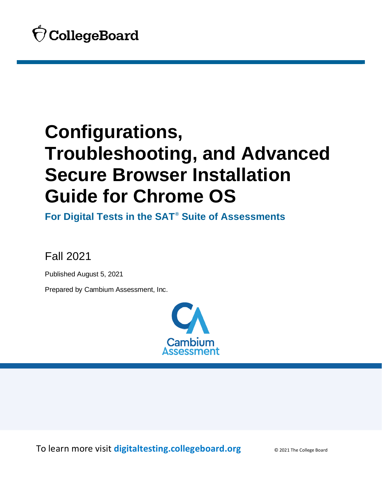

<span id="page-0-0"></span>**For Digital Tests in the SAT® Suite of Assessments**

Fall 2021

Published August 5, 2021

Prepared by Cambium Assessment, Inc.



To learn more visit **[digitaltesting.collegeboard.org](https://digitaltesting.collegeboard.org/)** © 2021 The College Board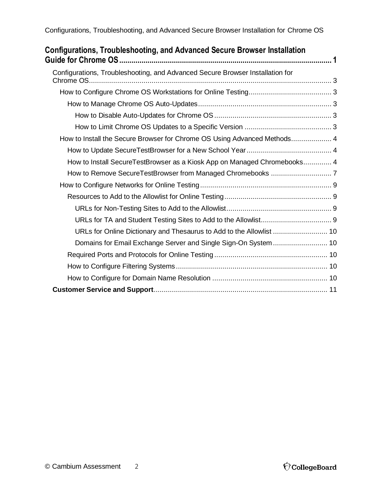| Configurations, Troubleshooting, and Advanced Secure Browser Installation                   |  |
|---------------------------------------------------------------------------------------------|--|
| Configurations, Troubleshooting, and Advanced Secure Browser Installation for<br>Chrome OS. |  |
|                                                                                             |  |
|                                                                                             |  |
|                                                                                             |  |
|                                                                                             |  |
| How to Install the Secure Browser for Chrome OS Using Advanced Methods 4                    |  |
|                                                                                             |  |
| How to Install SecureTestBrowser as a Kiosk App on Managed Chromebooks 4                    |  |
|                                                                                             |  |
|                                                                                             |  |
|                                                                                             |  |
|                                                                                             |  |
|                                                                                             |  |
| URLs for Online Dictionary and Thesaurus to Add to the Allowlist  10                        |  |
| Domains for Email Exchange Server and Single Sign-On System 10                              |  |
|                                                                                             |  |
|                                                                                             |  |
|                                                                                             |  |
|                                                                                             |  |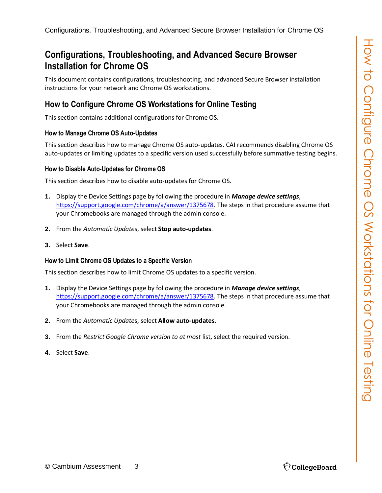<span id="page-2-0"></span>This document contains configurations, troubleshooting, and advanced Secure Browser installation instructions for your network and Chrome OS workstations.

# <span id="page-2-1"></span>**How to Configure Chrome OS Workstations for Online Testing**

This section contains additional configurations for Chrome OS.

#### <span id="page-2-2"></span>**How to Manage Chrome OS Auto-Updates**

This section describes how to manage Chrome OS auto-updates. CAI recommends disabling Chrome OS auto-updates or limiting updates to a specific version used successfully before summative testing begins.

#### <span id="page-2-3"></span>**How to Disable Auto-Updates for Chrome OS**

This section describes how to disable auto-updates for Chrome OS.

- **1.** Display the Device Settings page by following the procedure in *Manage device settings*, [https://support.google.com/chrome/a/answer/1375678.](https://support.google.com/chrome/a/answer/1375678) The steps in that procedure assume that your Chromebooks are managed through the admin console.
- **2.** From the *Automatic Update*s, select **Stop auto-updates**.
- **3.** Select **Save**.

#### <span id="page-2-4"></span>**How to Limit Chrome OS Updates to a Specific Version**

This section describes how to limit Chrome OS updates to a specific version.

- **1.** Display the Device Settings page by following the procedure in *Manage device settings*, https://support.google.com/chrome/a/answer/1375678. The steps in that procedure assume that your Chromebooks are managed through the admin console.
- **2.** From the *Automatic Update*s, select **Allow auto-updates**.
- **3.** From the *Restrict Google Chrome version to at most* list, select the required version.
- **4.** Select **Save**.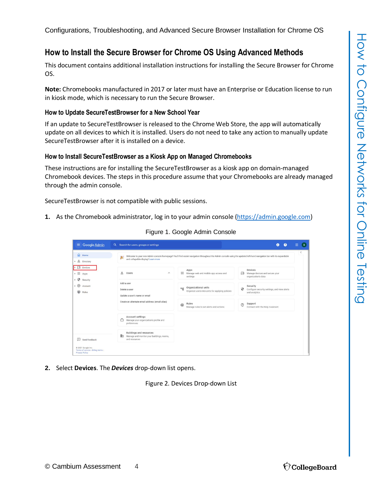### <span id="page-3-0"></span>**How to Install the Secure Browser for Chrome OS Using Advanced Methods**

This document contains additional installation instructions for installing the Secure Browser for Chrome OS.

**Note:** Chromebooks manufactured in 2017 or later must have an Enterprise or Education license to run in kiosk mode, which is necessary to run the Secure Browser.

#### <span id="page-3-1"></span>**How to Update SecureTestBrowser for a New School Year**

If an update to SecureTestBrowser is released to the Chrome Web Store, the app will automatically update on all devices to which it is installed. Users do not need to take any action to manually update SecureTestBrowser after it is installed on a device.

#### <span id="page-3-2"></span>**How to Install SecureTestBrowser as a Kiosk App on Managed Chromebooks**

These instructions are for installing the SecureTestBrowser as a kiosk app on domain-managed Chromebook devices. The steps in this procedure assume that your Chromebooks are already managed through the admin console.

SecureTestBrowser is not compatible with public sessions.

**1.** As the Chromebook administrator, log in to your admin console [\(https://admin.google.com\)](https://admin.google.com/)

| Google Admin<br>$\equiv$                                                          | 冊<br>Search for users, groups or settings<br>$\boldsymbol{\Omega}$<br>$\alpha$<br>⋒                                                                                                                                                              | B |
|-----------------------------------------------------------------------------------|--------------------------------------------------------------------------------------------------------------------------------------------------------------------------------------------------------------------------------------------------|---|
| ⋒<br>Home<br>ട്<br>Directory                                                      | Welcome to your new Admin console homepage! You'll find easier navigation throughout the Admin console using the updated left-hand navigation bar with its expandable<br>案<br>and collapsible display! Learn more                                | K |
| $\Box$ Devices<br>₩<br>Apps<br>Ø<br>Security                                      | Devices<br>Apps<br>:<br>$\approx$<br><b>Users</b><br>$\wedge$<br>Manage web and mobile app access and<br>ᇟ<br>Manage devices and secure your<br>organization's data<br>settings                                                                  |   |
| $^{\circ}$<br>Account<br>⊕<br><b>Rules</b>                                        | Add a user<br>Security<br>Organizational units<br>$D_{\overline{16}}$<br>⊕<br>Configure security settings, and view alerts<br>Delete a user<br>Organize users into units for applying policies<br>and analytics<br>Update a user's name or email |   |
|                                                                                   | Create an alternate email address (email alias)<br>Rules<br>Support<br>$^{\circledR}$<br>$\bigcirc$<br>Manage rules to set alerts and actions<br>Connect with the Help Assistant                                                                 |   |
|                                                                                   | <b>Account settings</b><br>۴<br>Manage your organization's profile and<br>preferences                                                                                                                                                            |   |
| Send feedback<br>⊞                                                                | <b>Buildings and resources</b><br>駒<br>Manage and monitor your buildings, rooms,<br>and resources                                                                                                                                                |   |
| 0 2021 Google Inc.<br>Terms of service - Billing terms -<br><b>Privacy Policy</b> |                                                                                                                                                                                                                                                  |   |

Figure 1. Google Admin Console

**2.** Select **Devices**. The *Devices* drop-down list opens.

Figure 2. Devices Drop-down List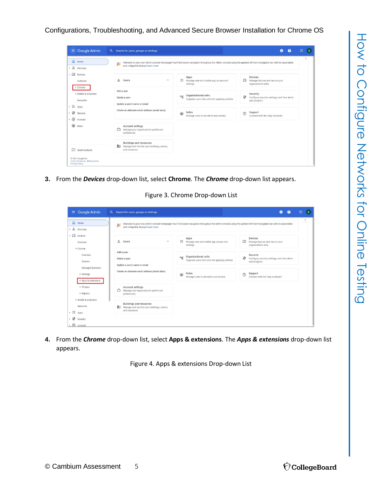| $\bigcap$ Home<br>▶ 吕 Directory                               | 寠<br>and collapsible display! Learn more                                                          | Welcome to your new Admin console homepage! You'll find easier navigation throughout the Admin console using the updated left-hand navigation bar with its expandable |                                                                                | $\langle$ |
|---------------------------------------------------------------|---------------------------------------------------------------------------------------------------|-----------------------------------------------------------------------------------------------------------------------------------------------------------------------|--------------------------------------------------------------------------------|-----------|
| $\overline{-}$ $\overline{L}$ Devices<br>Overview<br>▶ Chrome | $\approx$<br><b>Users</b><br>$\wedge$                                                             | Apps<br>$\mathbf{m}$<br>Manage web and mobile app access and<br>settings                                                                                              | Devices<br>ᄄ<br>Manage devices and secure your<br>organization's data          |           |
| > Mobile & endpoints<br>Networks                              | Add a user<br>Delete a user<br>Update a user's name or email                                      | Organizational units<br>먹<br>Organize users into units for applying policies                                                                                          | Security<br>⊕<br>Configure security settings, and view alerts<br>and analytics |           |
| ・田<br>Apps<br>⊕<br>Security<br>$\cdot$ @<br>Account           | Create an alternate email address (email alias)                                                   | Rules<br>⊕<br>Manage rules to set alerts and actions                                                                                                                  | Support<br>⊚<br>Connect with the Help Assistant                                |           |
| $\bigoplus$<br>Rules                                          | Account settings<br>Å<br>Manage your organization's profile and<br>preferences                    |                                                                                                                                                                       |                                                                                |           |
| $\Box$<br>Send feedback                                       | <b>Buildings and resources</b><br>中<br>Manage and monitor your buildings, rooms,<br>and resources |                                                                                                                                                                       |                                                                                |           |

**3.** From the *Devices* drop-down list, select **Chrome**. The *Chrome* drop-down list appears.

Figure 3. Chrome Drop-down List

|                                                                                   |                                                                                                   |                                                                                                                                                                       |                                                                                | $\langle$ |
|-----------------------------------------------------------------------------------|---------------------------------------------------------------------------------------------------|-----------------------------------------------------------------------------------------------------------------------------------------------------------------------|--------------------------------------------------------------------------------|-----------|
| a Home<br>$\rightarrow$ $\triangle$ Directory                                     | 麡<br>and collapsible display! Learn more                                                          | Welcome to your new Admin console homepage! You'll find easier navigation throughout the Admin console using the updated left-hand navigation bar with its expandable |                                                                                |           |
| $\overline{\phantom{a}}$ $\overline{\phantom{a}}$ Devices<br>Overview<br>- Chrome | $\approx$<br>Users<br>$\wedge$                                                                    | Apps<br>₩<br>Manage web and mobile app access and<br>settings                                                                                                         | Devices<br>Manage devices and secure your<br>organization's data               |           |
| Overview<br>Devices                                                               | Add a user<br>Delete a user<br>Update a user's name or email                                      | Organizational units<br>메<br>Organize users into units for applying policies                                                                                          | Security<br>⊕<br>Configure security settings, and view alerts<br>and analytics |           |
| Managed browsers<br>▶ Settings<br>Apps & extensions                               | Create an alternate email address (email alias)                                                   | Rules<br>$\circledast$<br>Manage rules to set alerts and actions                                                                                                      | Support<br>$\circledcirc$<br>Connect with the Help Assistant                   |           |
| Printers<br>Reports                                                               | Account settings<br>۴<br>Manage your organization's profile and<br>preferences                    |                                                                                                                                                                       |                                                                                |           |
| > Mobile & endpoints<br>Networks<br>$\rightarrow$ $\mathbf{iii}$ Apps             | <b>Buildings and resources</b><br>Manage and monitor your buildings, rooms,<br>駒<br>and resources |                                                                                                                                                                       |                                                                                |           |

**4.** From the *Chrome* drop-down list, select **Apps & extensions**. The *Apps & extensions* drop-down list appears.

Figure 4. Apps & extensions Drop-down List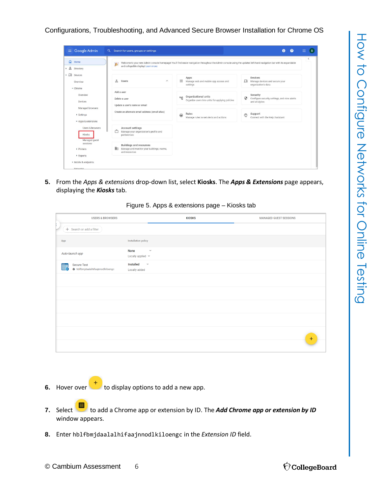| $\Omega$<br>Home<br>$\frac{1}{2}$<br>Directory                  | 凄<br>and collapsible display! Learn more                                                          | Welcome to your new Admin console homepage! You'll find easier navigation throughout the Admin console using the updated left-hand navigation bar with its expandable |                                                                                      |  |
|-----------------------------------------------------------------|---------------------------------------------------------------------------------------------------|-----------------------------------------------------------------------------------------------------------------------------------------------------------------------|--------------------------------------------------------------------------------------|--|
| $\overline{\phantom{a}}$ $\Box$ Devices<br>Overview<br>- Chrome | ≗<br>Users<br>$\wedge$                                                                            | Apps<br>₩<br>Manage web and mobile app access and<br>settings                                                                                                         | Devices<br>ᄄ<br>Manage devices and secure your<br>organization's data                |  |
| Overview<br><b>Devices</b>                                      | Add a user<br>Delete a user<br>Update a user's name or email                                      | Organizational units<br>$\mathbb{D}_{\overline{\mathrm{L}}^0_1}$<br>Organize users into units for applying policies                                                   | Security<br>$\odot$<br>Configure security settings, and view alerts<br>and analytics |  |
| Managed browsers<br>▶ Settings<br>Apps & extensions             | Create an alternate email address (email alias)                                                   | Rules<br>$\bigcirc$<br>Manage rules to set alerts and actions                                                                                                         | Support<br>$\circledcirc$<br>Connect with the Help Assistant                         |  |
| Users & browsers<br>Kiosks                                      | Account settings<br>Å<br>Manage your organization's profile and<br>preferences                    |                                                                                                                                                                       |                                                                                      |  |
| Managed guest<br>sessions<br>Printers                           | <b>Buildings and resources</b><br>駒<br>Manage and monitor your buildings, rooms,<br>and resources |                                                                                                                                                                       |                                                                                      |  |

**5.** From the *Apps & extensions* drop-down list, select **Kiosks**. The *Apps & Extensions* page appears, displaying the *Kiosks* tab.

Figure 5. Apps & extensions page – Kiosks tab

| <b>USERS &amp; BROWSERS</b>                                  | <b>KIOSKS</b>                                                                   | <b>MANAGED GUEST SESSIONS</b> |
|--------------------------------------------------------------|---------------------------------------------------------------------------------|-------------------------------|
| + Search or add a filter                                     |                                                                                 |                               |
| App                                                          | Installation policy                                                             |                               |
| Auto-launch app                                              | <b>None</b><br>$\overline{\phantom{a}}$<br>Locally applied $\blacktriangledown$ |                               |
| <b>Secure Test</b><br>Ë,<br>hblfbmjdaalalhifaajnnodlkiloengc | Installed<br>$\overline{\phantom{a}}$<br>Locally added                          |                               |
|                                                              |                                                                                 |                               |
|                                                              |                                                                                 |                               |
|                                                              |                                                                                 |                               |
|                                                              |                                                                                 |                               |
|                                                              |                                                                                 |                               |
|                                                              |                                                                                 | $\ddot{}$                     |
|                                                              |                                                                                 |                               |

- **6.** Hover over to display options to add a new app.
- **7.** Select **the set of a** Chrome app or extension by ID. The **Add Chrome app or extension by ID** window appears.
- **8.** Enter hblfbmjdaalalhifaajnnodlkiloengc in the *Extension ID* field.

© Cambium Assessment 6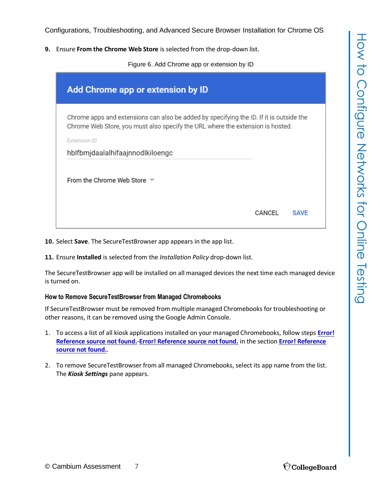**9.** Ensure **From the Chrome Web Store** is selected from the drop-down list.

Figure 6. Add Chrome app or extension by ID

| Add Chrome app or extension by ID                                                                                                                                                         |        |             |
|-------------------------------------------------------------------------------------------------------------------------------------------------------------------------------------------|--------|-------------|
| Chrome apps and extensions can also be added by specifying the ID. If it is outside the<br>Chrome Web Store, you must also specify the URL where the extension is hosted.<br>Extension ID |        |             |
| hblfbmjdaalalhifaajnnodlkiloengc                                                                                                                                                          |        |             |
| From the Chrome Web Store $\blacktriangledown$                                                                                                                                            |        |             |
|                                                                                                                                                                                           | CANCEL | <b>SAVF</b> |

**10.** Select **Save**. The SecureTestBrowser app appears in the app list.

**11.** Ensure **Installed** is selected from the *Installation Policy* drop-down list.

The SecureTestBrowser app will be installed on all managed devices the next time each managed device is turned on.

#### <span id="page-6-0"></span>**How to Remove SecureTestBrowser from Managed Chromebooks**

If SecureTestBrowser must be removed from multiple managed Chromebooks for troubleshooting or other reasons, it can be removed using the Google Admin Console.

- 1. To access a list of all kiosk applications installed on your managed Chromebooks, follow steps **Error! Reference source not found.**-**Error! Reference source not found.** in the section **Error! Reference source not found.**.
- 2. To remove SecureTestBrowser from all managed Chromebooks, select its app name from the list. The *Kiosk Settings* pane appears.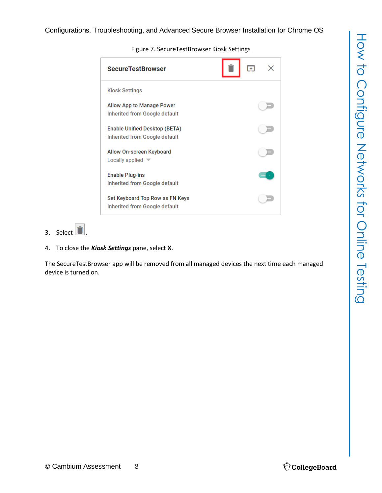| <b>SecureTestBrowser</b>                                         |  |
|------------------------------------------------------------------|--|
| <b>Kiosk Settings</b>                                            |  |
| Allow App to Manage Power<br>Inherited from Google default       |  |
| Enable Unified Desktop (BETA)<br>Inherited from Google default   |  |
| Allow On-screen Keyboard<br>Locally applied V                    |  |
| <b>Enable Plug-ins</b><br>Inherited from Google default          |  |
| Set Keyboard Top Row as FN Keys<br>Inherited from Google default |  |

Figure 7. SecureTestBrowser Kiosk Settings

# 3. Select  $\boxed{\blacksquare}$

4. To close the *Kiosk Settings* pane, select **X**.

The SecureTestBrowser app will be removed from all managed devices the next time each managed device is turned on.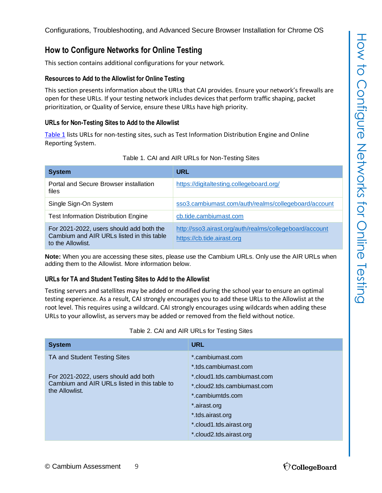# <span id="page-8-0"></span>**How to Configure Networks for Online Testing**

This section contains additional configurations for your network.

#### <span id="page-8-1"></span>**Resources to Add to the Allowlist for Online Testing**

This section presents information about the URLs that CAI provides. Ensure your network's firewalls are open for these URLs. If your testing network includes devices that perform traffic shaping, packet prioritization, or Quality of Service, ensure these URLs have high priority.

#### <span id="page-8-2"></span>**URLs for Non-Testing Sites to Add to the Allowlist**

[Table](#page-8-4) 1 lists URLs for non-testing sites, such as Test Information Distribution Engine and Online Reporting System.

<span id="page-8-4"></span>

| <b>System</b>                                                                                              | <b>URL</b>                                                                            |
|------------------------------------------------------------------------------------------------------------|---------------------------------------------------------------------------------------|
| Portal and Secure Browser installation<br>files                                                            | https://digitaltesting.collegeboard.org/                                              |
| Single Sign-On System                                                                                      | sso3.cambiumast.com/auth/realms/collegeboard/account                                  |
| <b>Test Information Distribution Engine</b>                                                                | cb.tide.cambiumast.com                                                                |
| For 2021-2022, users should add both the<br>Cambium and AIR URLs listed in this table<br>to the Allowlist. | http://sso3.airast.org/auth/realms/collegeboard/account<br>https://cb.tide.airast.org |

|  | Table 1. CAI and AIR URLs for Non-Testing Sites |
|--|-------------------------------------------------|
|  |                                                 |

**Note:** When you are accessing these sites, please use the Cambium URLs. Only use the AIR URLs when adding them to the Allowlist. More information below.

#### <span id="page-8-3"></span>**URLs for TA and Student Testing Sites to Add to the Allowlist**

Testing servers and satellites may be added or modified during the school year to ensure an optimal testing experience. As a result, CAI strongly encourages you to add these URLs to the Allowlist at the root level. This requires using a wildcard. CAI strongly encourages using wildcards when adding these URLs to your allowlist, as servers may be added or removed from the field without notice.

<span id="page-8-5"></span>

| <b>System</b>                                                                                          | <b>URL</b>                                                                                                                                                               |
|--------------------------------------------------------------------------------------------------------|--------------------------------------------------------------------------------------------------------------------------------------------------------------------------|
| TA and Student Testing Sites                                                                           | *.cambiumast.com<br>*.tds.cambiumast.com                                                                                                                                 |
| For 2021-2022, users should add both<br>Cambium and AIR URLs listed in this table to<br>the Allowlist. | *.cloud1.tds.cambiumast.com<br>*.cloud2.tds.cambiumast.com<br>*.cambiumtds.com<br>*.airast.org<br>*.tds.airast.org<br>*.cloud1.tds.airast.org<br>*.cloud2.tds.airast.org |

#### Table 2. CAI and AIR URLs for Testing Sites

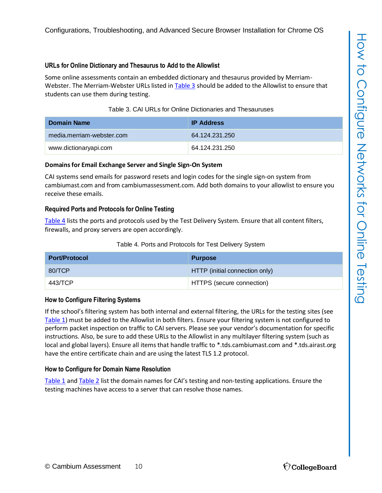#### <span id="page-9-0"></span>**URLs for Online Dictionary and Thesaurus to Add to the Allowlist**

Some online assessments contain an embedded dictionary and thesaurus provided by Merriam-Webster. The Merriam-Webster URLs listed in [Table](#page-9-5) 3 should be added to the Allowlist to ensure that students can use them during testing.

| Table 3. CAI URLs for Online Dictionaries and Thesauruses |
|-----------------------------------------------------------|
|-----------------------------------------------------------|

<span id="page-9-5"></span>

| Domain Name               | <b>IP Address</b> |
|---------------------------|-------------------|
| media.merriam-webster.com | 64 124 231 250    |
| www.dictionaryapi.com     | 64.124.231.250    |

#### <span id="page-9-1"></span>**Domains for Email Exchange Server and Single Sign-On System**

CAI systems send emails for password resets and login codes for the single sign-on system from cambiumast.com and from cambiumassessment.com. Add both domains to your allowlist to ensure you receive these emails.

#### <span id="page-9-2"></span>**Required Ports and Protocols for Online Testing**

[Table](#page-9-6) 4 lists the ports and protocols used by the Test Delivery System. Ensure that all content filters, firewalls, and proxy servers are open accordingly.

<span id="page-9-6"></span>

| <b>Port/Protocol</b> | <b>Purpose</b>                 |
|----------------------|--------------------------------|
| 80/TCP               | HTTP (initial connection only) |
| 443/TCP              | HTTPS (secure connection)      |

#### <span id="page-9-3"></span>**How to Configure Filtering Systems**

If the school's filtering system has both internal and external filtering, the URLs for the testing sites (see [Table](#page-8-4) 1) must be added to the Allowlist in both filters. Ensure your filtering system is not configured to perform packet inspection on traffic to CAI servers. Please see your vendor's documentation for specific instructions. Also, be sure to add these URLs to the Allowlist in any multilayer filtering system (such as local and global layers). Ensure all items that handle traffic to \*.tds.cambiumast.com and \*.tds.airast.org have the entire certificate chain and are using the latest TLS 1.2 protocol.

#### <span id="page-9-4"></span>**How to Configure for Domain Name Resolution**

[Table](#page-8-4) 1 an[d Table](#page-8-5) 2 list the domain names for CAI's testing and non-testing applications. Ensure the testing machines have access to a server that can resolve those names.